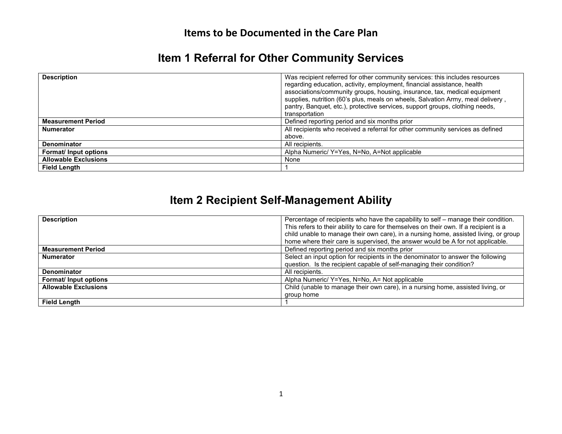#### **Items to be Documented in the Care Plan**

## **Item 1 Referral for Other Community Services**

| <b>Description</b>          | Was recipient referred for other community services: this includes resources<br>regarding education, activity, employment, financial assistance, health<br>associations/community groups, housing, insurance, tax, medical equipment<br>supplies, nutrition (60's plus, meals on wheels, Salvation Army, meal delivery,<br>pantry, Banquet, etc.), protective services, support groups, clothing needs,<br>transportation |
|-----------------------------|---------------------------------------------------------------------------------------------------------------------------------------------------------------------------------------------------------------------------------------------------------------------------------------------------------------------------------------------------------------------------------------------------------------------------|
| <b>Measurement Period</b>   | Defined reporting period and six months prior                                                                                                                                                                                                                                                                                                                                                                             |
| <b>Numerator</b>            | All recipients who received a referral for other community services as defined                                                                                                                                                                                                                                                                                                                                            |
|                             | above.                                                                                                                                                                                                                                                                                                                                                                                                                    |
| <b>Denominator</b>          | All recipients.                                                                                                                                                                                                                                                                                                                                                                                                           |
| <b>Format/Input options</b> | Alpha Numeric/ Y=Yes, N=No, A=Not applicable                                                                                                                                                                                                                                                                                                                                                                              |
| <b>Allowable Exclusions</b> | None                                                                                                                                                                                                                                                                                                                                                                                                                      |
| <b>Field Lenath</b>         |                                                                                                                                                                                                                                                                                                                                                                                                                           |

### **Item 2 Recipient Self-Management Ability**

| <b>Description</b>          | Percentage of recipients who have the capability to self – manage their condition.    |
|-----------------------------|---------------------------------------------------------------------------------------|
|                             | This refers to their ability to care for themselves on their own. If a recipient is a |
|                             | child unable to manage their own care), in a nursing home, assisted living, or group  |
|                             | home where their care is supervised, the answer would be A for not applicable.        |
| <b>Measurement Period</b>   | Defined reporting period and six months prior                                         |
| <b>Numerator</b>            | Select an input option for recipients in the denominator to answer the following      |
|                             | question. Is the recipient capable of self-managing their condition?                  |
| <b>Denominator</b>          | All recipients.                                                                       |
| <b>Format/Input options</b> | Alpha Numeric/ Y=Yes, N=No, A= Not applicable                                         |
| <b>Allowable Exclusions</b> | Child (unable to manage their own care), in a nursing home, assisted living, or       |
|                             | group home                                                                            |
| <b>Field Length</b>         |                                                                                       |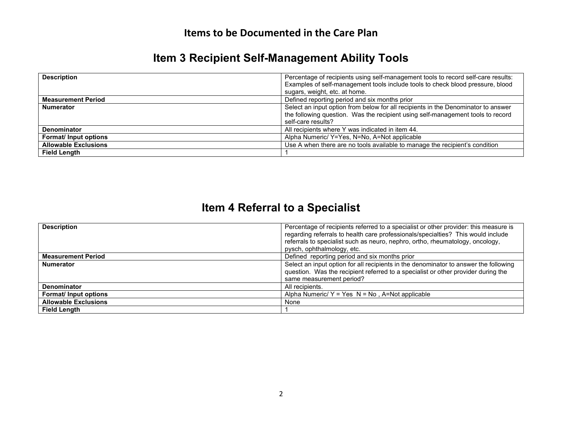#### **Items to be Documented in the Care Plan**

## **Item 3 Recipient Self-Management Ability Tools**

| <b>Description</b>          | Percentage of recipients using self-management tools to record self-care results:<br>Examples of self-management tools include tools to check blood pressure, blood                        |
|-----------------------------|--------------------------------------------------------------------------------------------------------------------------------------------------------------------------------------------|
|                             | sugars, weight, etc. at home.                                                                                                                                                              |
| <b>Measurement Period</b>   | Defined reporting period and six months prior                                                                                                                                              |
| <b>Numerator</b>            | Select an input option from below for all recipients in the Denominator to answer<br>the following question. Was the recipient using self-management tools to record<br>self-care results? |
| <b>Denominator</b>          | All recipients where Y was indicated in item 44.                                                                                                                                           |
| Format/ Input options       | Alpha Numeric/ Y=Yes, N=No, A=Not applicable                                                                                                                                               |
| <b>Allowable Exclusions</b> | Use A when there are no tools available to manage the recipient's condition                                                                                                                |
| <b>Field Length</b>         |                                                                                                                                                                                            |

# **Item 4 Referral to a Specialist**

| <b>Description</b>          | Percentage of recipients referred to a specialist or other provider: this measure is<br>regarding referrals to health care professionals/specialties? This would include<br>referrals to specialist such as neuro, nephro, ortho, rheumatology, oncology, |
|-----------------------------|-----------------------------------------------------------------------------------------------------------------------------------------------------------------------------------------------------------------------------------------------------------|
|                             | pysch, ophthalmology, etc.                                                                                                                                                                                                                                |
| <b>Measurement Period</b>   | Defined reporting period and six months prior                                                                                                                                                                                                             |
| <b>Numerator</b>            | Select an input option for all recipients in the denominator to answer the following<br>question. Was the recipient referred to a specialist or other provider during the<br>same measurement period?                                                     |
| <b>Denominator</b>          | All recipients.                                                                                                                                                                                                                                           |
| <b>Format/Input options</b> | Alpha Numeric/ $Y = Yes \ N = No$ , A=Not applicable                                                                                                                                                                                                      |
| <b>Allowable Exclusions</b> | None                                                                                                                                                                                                                                                      |
| <b>Field Length</b>         |                                                                                                                                                                                                                                                           |